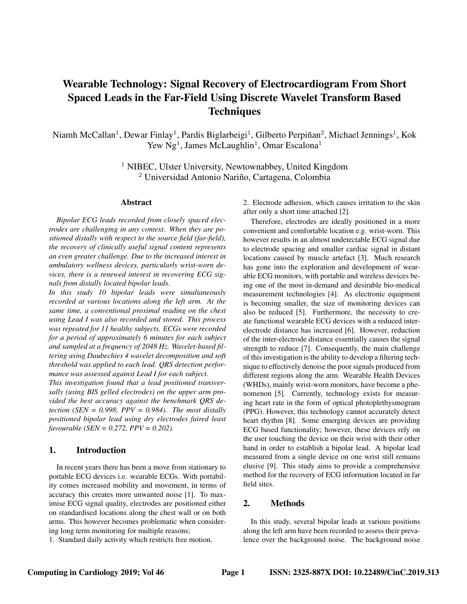# Wearable Technology: Signal Recovery of Electrocardiogram From Short Spaced Leads in the Far-Field Using Discrete Wavelet Transform Based **Techniques**

Niamh McCallan<sup>1</sup>, Dewar Finlay<sup>1</sup>, Pardis Biglarbeigi<sup>1</sup>, Gilberto Perpiñan<sup>2</sup>, Michael Jennings<sup>1</sup>, Kok Yew  $Ng<sup>1</sup>$ , James McLaughlin<sup>1</sup>, Omar Escalona<sup>1</sup>

> <sup>1</sup> NIBEC, Ulster University, Newtownabbey, United Kingdom  $2$  Universidad Antonio Nariño, Cartagena, Colombia

#### Abstract

*Bipolar ECG leads recorded from closely spaced electrodes are challenging in any context. When they are positioned distally with respect to the source field (far-field), the recovery of clinically useful signal content represents an even greater challenge. Due to the increased interest in ambulatory wellness devices, particularly wrist-worn devices, there is a renewed interest in recovering ECG signals from distally located bipolar leads.*

*In this study 10 bipolar leads were simultaneously recorded at various locations along the left arm. At the same time, a conventional proximal reading on the chest using Lead I was also recorded and stored. This process was repeated for 11 healthy subjects. ECGs were recorded for a period of approximately 6 minutes for each subject and sampled at a frequency of 2048 Hz. Wavelet-based filtering using Daubechies 4 wavelet decomposition and soft threshold was applied to each lead. QRS detection performance was assessed against Lead I for each subject.*

*This investigation found that a lead positioned transversally (using BIS gelled electrodes) on the upper arm provided the best accuracy against the benchmark QRS detection (SEN = 0.998, PPV = 0.984). The most distally positioned bipolar lead using dry electrodes faired least favourable (SEN = 0.272, PPV = 0.202).*

## 1. Introduction

In recent years there has been a move from stationary to portable ECG devices i.e. wearable ECGs. With portability comes increased mobility and movement, in terms of accuracy this creates more unwanted noise [1]. To maximise ECG signal quality, electrodes are positioned either on standardised locations along the chest wall or on both arms. This however becomes problematic when considering long term monitoring for multiple reasons;

1. Standard daily activity which restricts free motion.

2. Electrode adhesion, which causes irritation to the skin after only a short time attached [2].

Therefore, electrodes are ideally positioned in a more convenient and comfortable location e.g. wrist-worn. This however results in an almost undetectable ECG signal due to electrode spacing and smaller cardiac signal in distant locations caused by muscle artefact [3]. Much research has gone into the exploration and development of wearable ECG monitors, with portable and wireless devices being one of the most in-demand and desirable bio-medical measurement technologies [4]. As electronic equipment is becoming smaller, the size of monitoring devices can also be reduced [5]. Furthermore, the necessity to create functional wearable ECG devices with a reduced interelectrode distance has increased [6]. However, reduction of the inter-electrode distance essentially causes the signal strength to reduce [7]. Consequently, the main challenge of this investigation is the ability to develop a filtering technique to effectively denoise the poor signals produced from different regions along the arm. Wearable Health Devices (WHDs), mainly wrist-worn monitors, have become a phenomenon [5]. Currently, technology exists for measuring heart rate in the form of optical photoplethysmogram (PPG). However, this technology cannot accurately detect heart rhythm [8]. Some emerging devices are providing ECG based functionality; however, these devices rely on the user touching the device on their wrist with their other hand in order to establish a bipolar lead. A bipolar lead measured from a single device on one wrist still remains elusive [9]. This study aims to provide a comprehensive method for the recovery of ECG information located in far field sites.

## 2. Methods

In this study, several bipolar leads at various positions along the left arm have been recorded to assess their prevalence over the background noise. The background noise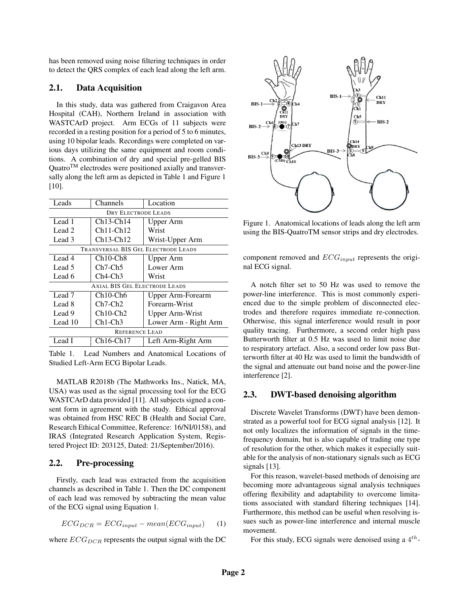has been removed using noise filtering techniques in order to detect the QRS complex of each lead along the left arm.

## 2.1. Data Acquisition

In this study, data was gathered from Craigavon Area Hospital (CAH), Northern Ireland in association with WASTCArD project. Arm ECGs of 11 subjects were recorded in a resting position for a period of 5 to 6 minutes, using 10 bipolar leads. Recordings were completed on various days utilizing the same equipment and room conditions. A combination of dry and special pre-gelled BIS Quatro<sup>TM</sup> electrodes were positioned axially and transversally along the left arm as depicted in Table 1 and Figure 1 [10].

| Leads                                | Channels                          | Location              |  |  |
|--------------------------------------|-----------------------------------|-----------------------|--|--|
| DRY ELECTRODE LEADS                  |                                   |                       |  |  |
| Lead 1                               | $Ch13-Ch14$                       | <b>Upper Arm</b>      |  |  |
| Lead 2                               | $Ch11-Ch12$                       | Wrist                 |  |  |
| Lead 3                               | $Ch13-Ch12$                       | Wrist-Upper Arm       |  |  |
| TRANSVERSAL BIS GEL ELECTRODE LEADS  |                                   |                       |  |  |
| Lead 4                               | $Ch10-Ch8$                        | <b>Upper Arm</b>      |  |  |
| Lead 5                               | $Ch7-Ch5$                         | Lower Arm             |  |  |
| Lead 6                               | $Ch4-Ch3$                         | Wrist                 |  |  |
| <b>AXIAL BIS GEL ELECTRODE LEADS</b> |                                   |                       |  |  |
| Lead 7                               | Ch <sub>10</sub> -Ch <sub>6</sub> | Upper Arm-Forearm     |  |  |
| Lead 8                               | $Ch7$ -Ch $2$                     | Forearm-Wrist         |  |  |
| Lead 9                               | $Ch10-Ch2$                        | Upper Arm-Wrist       |  |  |
| Lead 10                              | $Ch1-Ch3$                         | Lower Arm - Right Arm |  |  |
| <b>REFERENCE LEAD</b>                |                                   |                       |  |  |
| Lead I                               | $Ch16-Ch17$                       | Left Arm-Right Arm    |  |  |

Table 1. Lead Numbers and Anatomical Locations of Studied Left-Arm ECG Bipolar Leads.

MATLAB R2018b (The Mathworks Ins., Natick, MA, USA) was used as the signal processing tool for the ECG WASTCArD data provided [11]. All subjects signed a consent form in agreement with the study. Ethical approval was obtained from HSC REC B (Health and Social Care, Research Ethical Committee, Reference: 16/NI/0158), and IRAS (Integrated Research Application System, Registered Project ID: 203125, Dated: 21/September/2016).

#### 2.2. Pre-processing

Firstly, each lead was extracted from the acquisition channels as described in Table 1. Then the DC component of each lead was removed by subtracting the mean value of the ECG signal using Equation 1.

$$
ECG_{DCR} = ECG_{input} - mean(ECG_{input}) \tag{1}
$$

where  $ECG_{DCR}$  represents the output signal with the DC



Figure 1. Anatomical locations of leads along the left arm using the BIS-QuatroTM sensor strips and dry electrodes.

component removed and  $ECG_{input}$  represents the original ECG signal.

A notch filter set to 50 Hz was used to remove the power-line interference. This is most commonly experienced due to the simple problem of disconnected electrodes and therefore requires immediate re-connection. Otherwise, this signal interference would result in poor quality tracing. Furthermore, a second order high pass Butterworth filter at 0.5 Hz was used to limit noise due to respiratory artefact. Also, a second order low pass Butterworth filter at 40 Hz was used to limit the bandwidth of the signal and attenuate out band noise and the power-line interference [2].

#### 2.3. DWT-based denoising algorithm

Discrete Wavelet Transforms (DWT) have been demonstrated as a powerful tool for ECG signal analysis [12]. It not only localizes the information of signals in the timefrequency domain, but is also capable of trading one type of resolution for the other, which makes it especially suitable for the analysis of non-stationary signals such as ECG signals [13].

For this reason, wavelet-based methods of denoising are becoming more advantageous signal analysis techniques offering flexibility and adaptability to overcome limitations associated with standard filtering techniques [14]. Furthermore, this method can be useful when resolving issues such as power-line interference and internal muscle movement.

For this study, ECG signals were denoised using a  $4^{th}$ -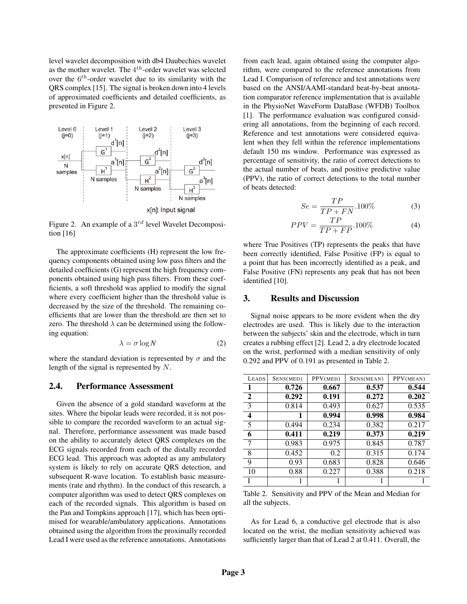level wavelet decomposition with db4 Daubechies wavelet as the mother wavelet. The  $4^{th}$ -order wavelet was selected over the  $6^{th}$ -order wavelet due to its similarity with the QRS complex [15]. The signal is broken down into 4 levels of approximated coefficients and detailed coefficients, as presented in Figure 2.



Figure 2. An example of a  $3^{rd}$  level Wavelet Decomposition [16]

The approximate coefficients (H) represent the low frequency components obtained using low pass filters and the detailed coefficients (G) represent the high frequency components obtained using high pass filters. From these coefficients, a soft threshold was applied to modify the signal where every coefficient higher than the threshold value is decreased by the size of the threshold. The remaining coefficients that are lower than the threshold are then set to zero. The threshold  $\lambda$  can be determined using the following equation:

$$
\lambda = \sigma \log N \tag{2}
$$

where the standard deviation is represented by  $\sigma$  and the length of the signal is represented by N.

## 2.4. Performance Assessment

Given the absence of a gold standard waveform at the sites. Where the bipolar leads were recorded, it is not possible to compare the recorded waveform to an actual signal. Therefore, performance assessment was made based on the ability to accurately detect QRS complexes on the ECG signals recorded from each of the distally recorded ECG lead. This approach was adopted as any ambulatory system is likely to rely on accurate QRS detection, and subsequent R-wave location. To establish basic measurements (rate and rhythm). In the conduct of this research, a computer algorithm was used to detect QRS complexes on each of the recorded signals. This algorithm is based on the Pan and Tompkins approach [17], which has been optimised for wearable/ambulatory applications. Annotations obtained using the algorithm from the proximally recorded Lead I were used as the reference annotations. Annotations

from each lead, again obtained using the computer algorithm, were compared to the reference annotations from Lead I. Comparison of reference and test annotations were based on the ANSI/AAMI-standard beat-by-beat annotation comparator reference implementation that is available in the PhysioNet WaveForm DataBase (WFDB) Toolbox [1]. The performance evaluation was configured considering all annotations, from the beginning of each record. Reference and test annotations were considered equivalent when they fell within the reference implementations default 150 ms window. Performance was expressed as percentage of sensitivity, the ratio of correct detections to the actual number of beats, and positive predictive value (PPV), the ratio of correct detections to the total number of beats detected:

$$
Se = \frac{TP}{TP + FN} .100\%
$$
 (3)

$$
PPV = \frac{TP}{TP + FP}.100\%
$$
 (4)

where True Positives (TP) represents the peaks that have been correctly identified, False Positive (FP) is equal to a point that has been incorrectly identified as a peak, and False Positive (FN) represents any peak that has not been identified [10].

### 3. Results and Discussion

Signal noise appears to be more evident when the dry electrodes are used. This is likely due to the interaction between the subjects' skin and the electrode, which in turn creates a rubbing effect [2]. Lead 2, a dry electrode located on the wrist, performed with a median sensitivity of only 0.292 and PPV of 0.191 as presented in Table 2.

| <b>LEADS</b> | SENS(MED) | PPV(MED) | SENS(MEAN) | PPV(MEAN) |
|--------------|-----------|----------|------------|-----------|
| 1            | 0.726     | 0.667    | 0.537      | 0.544     |
| 2            | 0.292     | 0.191    | 0.272      | 0.202     |
| 3            | 0.814     | 0.493    | 0.627      | 0.535     |
| 4            | 1         | 0.994    | 0.998      | 0.984     |
| 5            | 0.494     | 0.234    | 0.382      | 0.217     |
| 6            | 0.411     | 0.219    | 0.373      | 0.219     |
| 7            | 0.983     | 0.975    | 0.845      | 0.787     |
| 8            | 0.452     | 0.2      | 0.315      | 0.174     |
| 9            | 0.93      | 0.683    | 0.828      | 0.646     |
| 10           | 0.88      | 0.227    | 0.388      | 0.218     |
|              |           |          |            |           |

Table 2. Sensitivity and PPV of the Mean and Median for all the subjects.

As for Lead 6, a conductive gel electrode that is also located on the wrist, the median sensitivity achieved was sufficiently larger than that of Lead 2 at 0.411. Overall, the